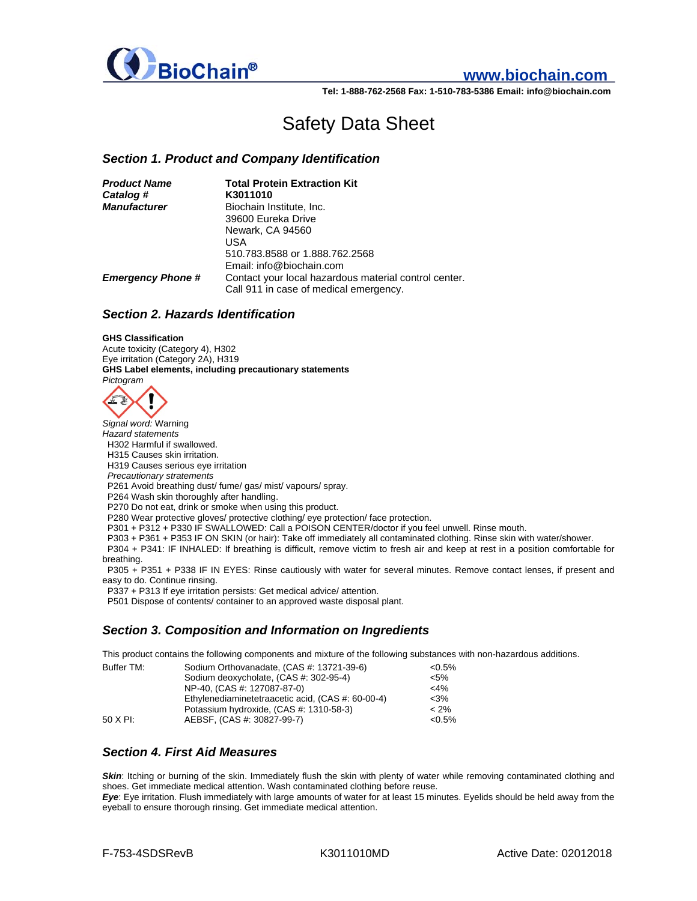

# **www.biochain.com**

**Tel: 1-888-762-2568 Fax: 1-510-783-5386 Email: info@biochain.com**

# Safety Data Sheet

#### *Section 1. Product and Company Identification*

| <b>Product Name</b>      | <b>Total Protein Extraction Kit</b>                   |
|--------------------------|-------------------------------------------------------|
| Catalog #                | K3011010                                              |
| <b>Manufacturer</b>      | Biochain Institute, Inc.                              |
|                          | 39600 Eureka Drive                                    |
|                          | Newark, CA 94560                                      |
|                          | USA                                                   |
|                          | 510.783.8588 or 1.888.762.2568                        |
|                          | Email: info@biochain.com                              |
| <b>Emergency Phone #</b> | Contact your local hazardous material control center. |
|                          | Call 911 in case of medical emergency.                |

#### *Section 2. Hazards Identification*

#### **GHS Classification**

Acute toxicity (Category 4), H302 Eye irritation (Category 2A), H319 **GHS Label elements, including precautionary statements**  *Pictogram* 



*Signal word:* Warning *Hazard statements*  H302 Harmful if swallowed. H315 Causes skin irritation. H319 Causes serious eye irritation  *Precautionary stratements*  P261 Avoid breathing dust/ fume/ gas/ mist/ vapours/ spray. P264 Wash skin thoroughly after handling. P270 Do not eat, drink or smoke when using this product. P280 Wear protective gloves/ protective clothing/ eye protection/ face protection. P301 + P312 + P330 IF SWALLOWED: Call a POISON CENTER/doctor if you feel unwell. Rinse mouth. P303 + P361 + P353 IF ON SKIN (or hair): Take off immediately all contaminated clothing. Rinse skin with water/shower. P304 + P341: IF INHALED: If breathing is difficult, remove victim to fresh air and keep at rest in a position comfortable for breathing.

 P305 + P351 + P338 IF IN EYES: Rinse cautiously with water for several minutes. Remove contact lenses, if present and easy to do. Continue rinsing.

P337 + P313 If eye irritation persists: Get medical advice/ attention.

P501 Dispose of contents/ container to an approved waste disposal plant.

#### *Section 3. Composition and Information on Ingredients*

This product contains the following components and mixture of the following substances with non-hazardous additions.

| Buffer TM: | Sodium Orthovanadate, (CAS #: 13721-39-6)         | ${<}0.5\%$ |
|------------|---------------------------------------------------|------------|
|            | Sodium deoxycholate, (CAS #: 302-95-4)            | $< 5\%$    |
|            | NP-40, (CAS #: 127087-87-0)                       | $<$ 4%     |
|            | Ethylenediaminetetraacetic acid. (CAS #: 60-00-4) | $<$ 3%     |
|            | Potassium hydroxide, (CAS #: 1310-58-3)           | $< 2\%$    |
| 50 X PI:   | AEBSF, (CAS #: 30827-99-7)                        | $< 0.5\%$  |

#### *Section 4. First Aid Measures*

**Skin:** Itching or burning of the skin. Immediately flush the skin with plenty of water while removing contaminated clothing and shoes. Get immediate medical attention. Wash contaminated clothing before reuse.

*Eye*: Eye irritation. Flush immediately with large amounts of water for at least 15 minutes. Eyelids should be held away from the eyeball to ensure thorough rinsing. Get immediate medical attention.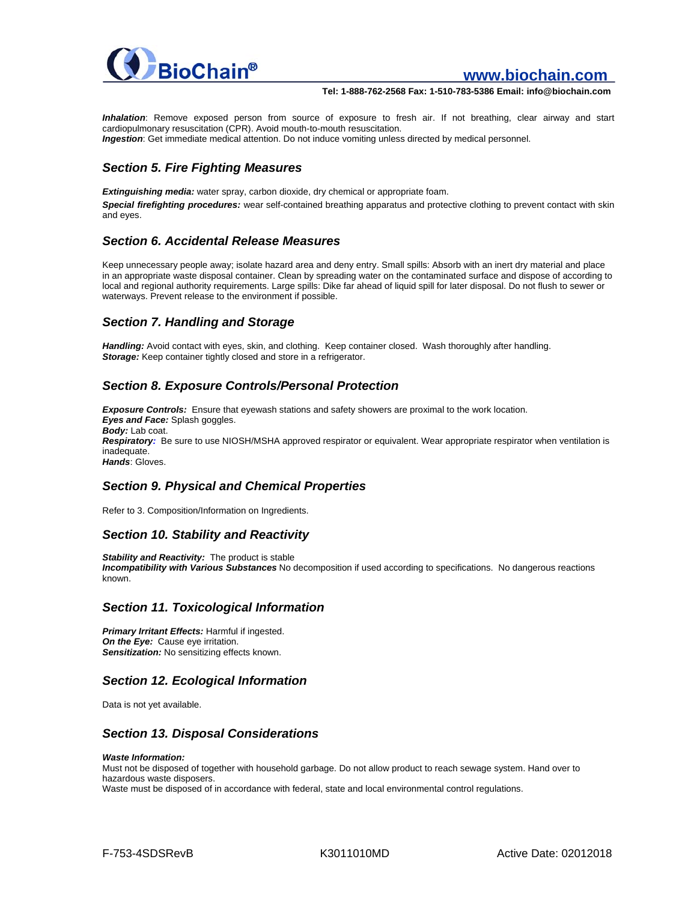

## **www.biochain.com**

#### **Tel: 1-888-762-2568 Fax: 1-510-783-5386 Email: info@biochain.com**

*Inhalation*: Remove exposed person from source of exposure to fresh air. If not breathing, clear airway and start cardiopulmonary resuscitation (CPR). Avoid mouth-to-mouth resuscitation. *Ingestion*: Get immediate medical attention. Do not induce vomiting unless directed by medical personnel.

## *Section 5. Fire Fighting Measures*

*Extinguishing media:* water spray, carbon dioxide, dry chemical or appropriate foam. *Special firefighting procedures:* wear self-contained breathing apparatus and protective clothing to prevent contact with skin and eyes.

#### *Section 6. Accidental Release Measures*

Keep unnecessary people away; isolate hazard area and deny entry. Small spills: Absorb with an inert dry material and place in an appropriate waste disposal container. Clean by spreading water on the contaminated surface and dispose of according to local and regional authority requirements. Large spills: Dike far ahead of liquid spill for later disposal. Do not flush to sewer or waterways. Prevent release to the environment if possible.

## *Section 7. Handling and Storage*

*Handling:* Avoid contact with eyes, skin, and clothing. Keep container closed. Wash thoroughly after handling. **Storage:** Keep container tightly closed and store in a refrigerator.

#### *Section 8. Exposure Controls/Personal Protection*

*Exposure Controls:* Ensure that eyewash stations and safety showers are proximal to the work location. *Eyes and Face:* Splash goggles. *Body:* Lab coat. *Respiratory:* Be sure to use NIOSH/MSHA approved respirator or equivalent. Wear appropriate respirator when ventilation is inadequate. *Hands*: Gloves.

#### *Section 9. Physical and Chemical Properties*

Refer to 3. Composition/Information on Ingredients.

#### *Section 10. Stability and Reactivity*

*Stability and Reactivity:* The product is stable *Incompatibility with Various Substances* No decomposition if used according to specifications. No dangerous reactions known.

#### *Section 11. Toxicological Information*

*Primary Irritant Effects:* Harmful if ingested. **On the Eye:** Cause eye irritation. **Sensitization:** No sensitizing effects known.

#### *Section 12. Ecological Information*

Data is not yet available.

#### *Section 13. Disposal Considerations*

#### *Waste Information:*

Must not be disposed of together with household garbage. Do not allow product to reach sewage system. Hand over to hazardous waste disposers.

Waste must be disposed of in accordance with federal, state and local environmental control regulations.